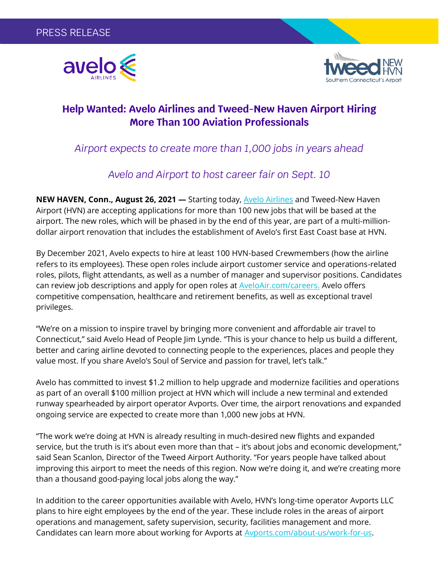



## **Help Wanted: Avelo Airlines and Tweed-New Haven Airport Hiring More Than 100 Aviation Professionals**

# *Airport expects to create more than 1,000 jobs in years ahead*

## *Avelo and Airport to host career fair on Sept. 10*

**NEW HAVEN, Conn., August 26, 2021 —** Starting today, [Avelo Airlines](http://www.aveloair.com/) and Tweed-New Haven Airport (HVN) are accepting applications for more than 100 new jobs that will be based at the airport. The new roles, which will be phased in by the end of this year, are part of a multi-milliondollar airport renovation that includes the establishment of Avelo's first East Coast base at HVN.

By December 2021, Avelo expects to hire at least 100 HVN-based Crewmembers (how the airline refers to its employees). These open roles include airport customer service and operations-related roles, pilots, flight attendants, as well as a number of manager and supervisor positions. Candidates can review job descriptions and apply for open roles at [AveloAir.com/careers.](https://www.aveloair.com/careers) Avelo offers competitive compensation, healthcare and retirement benefits, as well as exceptional travel privileges.

"We're on a mission to inspire travel by bringing more convenient and affordable air travel to Connecticut," said Avelo Head of People Jim Lynde. "This is your chance to help us build a different, better and caring airline devoted to connecting people to the experiences, places and people they value most. If you share Avelo's Soul of Service and passion for travel, let's talk."

Avelo has committed to invest \$1.2 million to help upgrade and modernize facilities and operations as part of an overall \$100 million project at HVN which will include a new terminal and extended runway spearheaded by airport operator Avports. Over time, the airport renovations and expanded ongoing service are expected to create more than 1,000 new jobs at HVN.

"The work we're doing at HVN is already resulting in much-desired new flights and expanded service, but the truth is it's about even more than that – it's about jobs and economic development," said Sean Scanlon, Director of the Tweed Airport Authority. "For years people have talked about improving this airport to meet the needs of this region. Now we're doing it, and we're creating more than a thousand good-paying local jobs along the way."

In addition to the career opportunities available with Avelo, HVN's long-time operator Avports LLC plans to hire eight employees by the end of the year. These include roles in the areas of airport operations and management, safety supervision, security, facilities management and more. Candidates can learn more about working for Avports at [Avports.com/about-us/work-for-us.](https://avports.com/about-us/work-for-us/)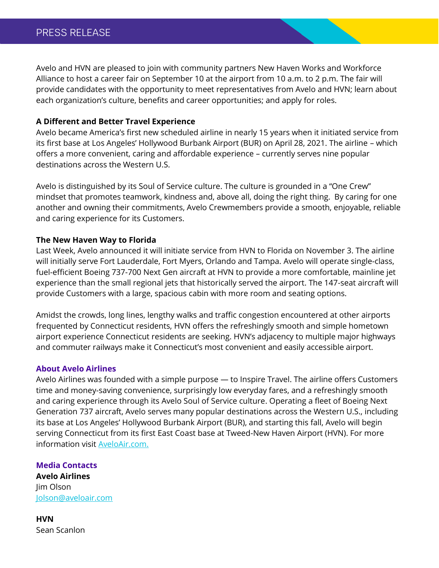Avelo and HVN are pleased to join with community partners New Haven Works and Workforce Alliance to host a career fair on September 10 at the airport from 10 a.m. to 2 p.m. The fair will provide candidates with the opportunity to meet representatives from Avelo and HVN; learn about each organization's culture, benefits and career opportunities; and apply for roles.

#### **A Different and Better Travel Experience**

Avelo became America's first new scheduled airline in nearly 15 years when it initiated service from its first base at Los Angeles' Hollywood Burbank Airport (BUR) on April 28, 2021. The airline – which offers a more convenient, caring and affordable experience – currently serves nine popular destinations across the Western U.S.

Avelo is distinguished by its Soul of Service culture. The culture is grounded in a "One Crew" mindset that promotes teamwork, kindness and, above all, doing the right thing. By caring for one another and owning their commitments, Avelo Crewmembers provide a smooth, enjoyable, reliable and caring experience for its Customers.

### **The New Haven Way to Florida**

Last Week, Avelo announced it will initiate service from HVN to Florida on November 3. The airline will initially serve Fort Lauderdale, Fort Myers, Orlando and Tampa. Avelo will operate single-class, fuel-efficient Boeing 737-700 Next Gen aircraft at HVN to provide a more comfortable, mainline jet experience than the small regional jets that historically served the airport. The 147-seat aircraft will provide Customers with a large, spacious cabin with more room and seating options.

Amidst the crowds, long lines, lengthy walks and traffic congestion encountered at other airports frequented by Connecticut residents, HVN offers the refreshingly smooth and simple hometown airport experience Connecticut residents are seeking. HVN's adjacency to multiple major highways and commuter railways make it Connecticut's most convenient and easily accessible airport.

#### **About Avelo Airlines**

Avelo Airlines was founded with a simple purpose — to Inspire Travel. The airline offers Customers time and money-saving convenience, surprisingly low everyday fares, and a refreshingly smooth and caring experience through its Avelo Soul of Service culture. Operating a fleet of Boeing Next Generation 737 aircraft, Avelo serves many popular destinations across the Western U.S., including its base at Los Angeles' Hollywood Burbank Airport (BUR), and starting this fall, Avelo will begin serving Connecticut from its first East Coast base at Tweed-New Haven Airport (HVN). For more information visit [AveloAir.com.](https://www.aveloair.com/)

**Media Contacts**

**Avelo Airlines**  Jim Olson [Jolson@aveloair.com](mailto:Jolson@aveloair.com)

**HVN** Sean Scanlon